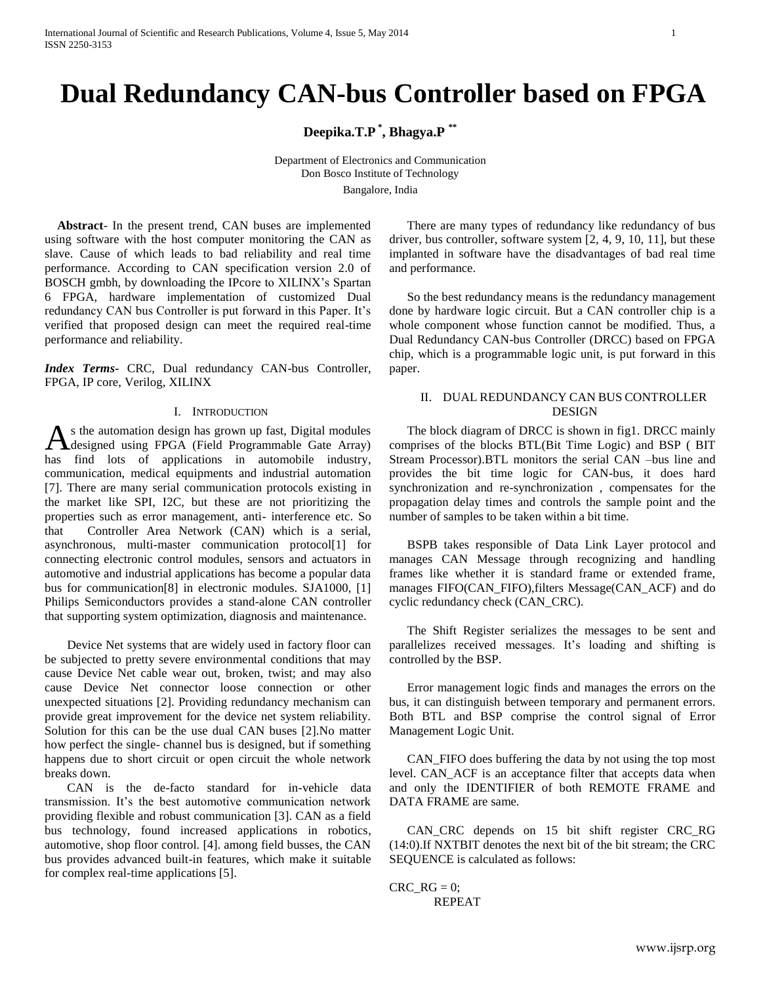# **Dual Redundancy CAN-bus Controller based on FPGA**

**Deepika.T.P \* , Bhagya.P \*\***

Department of Electronics and Communication Don Bosco Institute of Technology Bangalore, India

 **Abstract**- In the present trend, CAN buses are implemented using software with the host computer monitoring the CAN as slave. Cause of which leads to bad reliability and real time performance. According to CAN specification version 2.0 of BOSCH gmbh, by downloading the IPcore to XILINX's Spartan 6 FPGA, hardware implementation of customized Dual redundancy CAN bus Controller is put forward in this Paper. It's verified that proposed design can meet the required real-time performance and reliability.

*Index Terms-* CRC, Dual redundancy CAN-bus Controller, FPGA, IP core, Verilog, XILINX

#### I. INTRODUCTION

s the automation design has grown up fast, Digital modules As the automation design has grown up fast, Digital modules<br>designed using FPGA (Field Programmable Gate Array) has find lots of applications in automobile industry, communication, medical equipments and industrial automation [7]. There are many serial communication protocols existing in the market like SPI, I2C, but these are not prioritizing the properties such as error management, anti- interference etc. So that Controller Area Network (CAN) which is a serial, asynchronous, multi-master communication protocol[1] for connecting electronic control modules, sensors and actuators in automotive and industrial applications has become a popular data bus for communication[8] in electronic modules. SJA1000, [1] Philips Semiconductors provides a stand-alone CAN controller that supporting system optimization, diagnosis and maintenance.

Device Net systems that are widely used in factory floor can be subjected to pretty severe environmental conditions that may cause Device Net cable wear out, broken, twist; and may also cause Device Net connector loose connection or other unexpected situations [2]. Providing redundancy mechanism can provide great improvement for the device net system reliability. Solution for this can be the use dual CAN buses [2].No matter how perfect the single- channel bus is designed, but if something happens due to short circuit or open circuit the whole network breaks down.

CAN is the de-facto standard for in-vehicle data transmission. It's the best automotive communication network providing flexible and robust communication [3]. CAN as a field bus technology, found increased applications in robotics, automotive, shop floor control. [4]. among field busses, the CAN bus provides advanced built-in features, which make it suitable for complex real-time applications [5].

There are many types of redundancy like redundancy of bus driver, bus controller, software system [2, 4, 9, 10, 11], but these implanted in software have the disadvantages of bad real time and performance.

So the best redundancy means is the redundancy management done by hardware logic circuit. But a CAN controller chip is a whole component whose function cannot be modified. Thus, a Dual Redundancy CAN-bus Controller (DRCC) based on FPGA chip, which is a programmable logic unit, is put forward in this paper.

# II. DUAL REDUNDANCY CAN BUS CONTROLLER DESIGN

The block diagram of DRCC is shown in fig1. DRCC mainly comprises of the blocks BTL(Bit Time Logic) and BSP ( BIT Stream Processor).BTL monitors the serial CAN –bus line and provides the bit time logic for CAN-bus, it does hard synchronization and re-synchronization , compensates for the propagation delay times and controls the sample point and the number of samples to be taken within a bit time.

BSPB takes responsible of Data Link Layer protocol and manages CAN Message through recognizing and handling frames like whether it is standard frame or extended frame, manages FIFO(CAN\_FIFO),filters Message(CAN\_ACF) and do cyclic redundancy check (CAN\_CRC).

The Shift Register serializes the messages to be sent and parallelizes received messages. It's loading and shifting is controlled by the BSP.

Error management logic finds and manages the errors on the bus, it can distinguish between temporary and permanent errors. Both BTL and BSP comprise the control signal of Error Management Logic Unit.

CAN FIFO does buffering the data by not using the top most level. CAN\_ACF is an acceptance filter that accepts data when and only the IDENTIFIER of both REMOTE FRAME and DATA FRAME are same.

CAN\_CRC depends on 15 bit shift register CRC\_RG (14:0).If NXTBIT denotes the next bit of the bit stream; the CRC SEQUENCE is calculated as follows:

CRC  $RG = 0$ ; REPEAT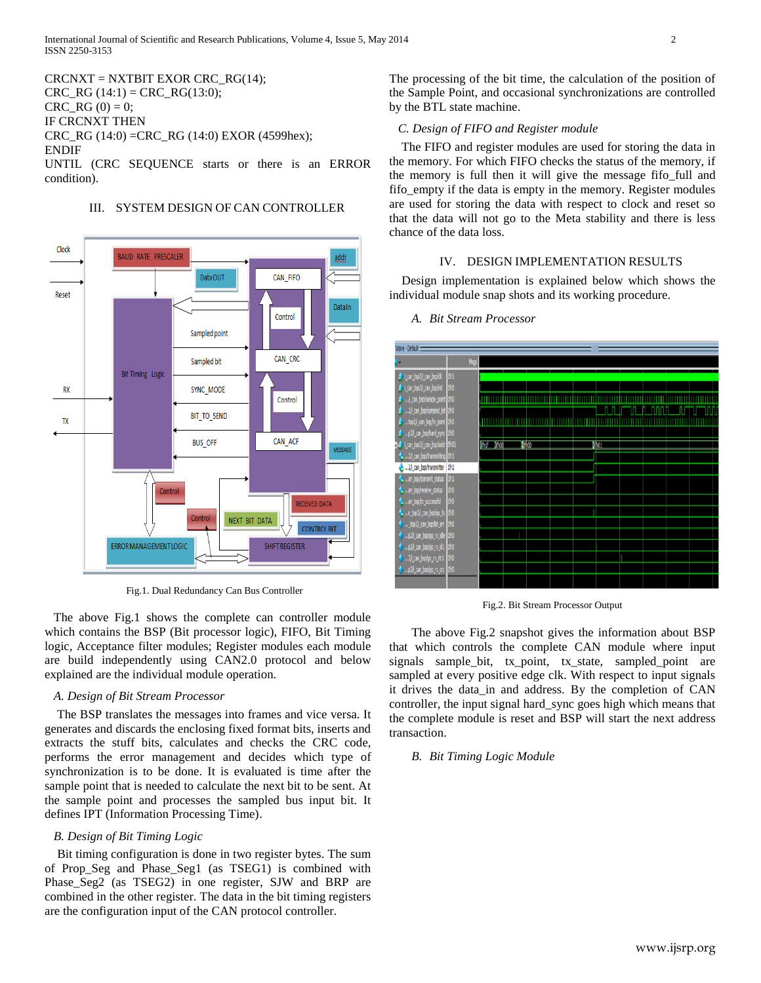$CRCNXT = NXTBIT EXOR CRC<sub>RG</sub>(14);$  $CRC\_RG(14:1) = CRC\_RG(13:0);$  $CRC\_RG(0) = 0;$ IF CRCNXT THEN CRC\_RG (14:0) =CRC\_RG (14:0) EXOR (4599hex); ENDIF UNTIL (CRC SEQUENCE starts or there is an ERROR condition).



## III. SYSTEM DESIGN OF CAN CONTROLLER

Fig.1. Dual Redundancy Can Bus Controller

The above Fig.1 shows the complete can controller module which contains the BSP (Bit processor logic), FIFO, Bit Timing logic, Acceptance filter modules; Register modules each module are build independently using CAN2.0 protocol and below explained are the individual module operation.

## *A. Design of Bit Stream Processor*

 The BSP translates the messages into frames and vice versa. It generates and discards the enclosing fixed format bits, inserts and extracts the stuff bits, calculates and checks the CRC code, performs the error management and decides which type of synchronization is to be done. It is evaluated is time after the sample point that is needed to calculate the next bit to be sent. At the sample point and processes the sampled bus input bit. It defines IPT (Information Processing Time).

## *B. Design of Bit Timing Logic*

 Bit timing configuration is done in two register bytes. The sum of Prop\_Seg and Phase\_Seg1 (as TSEG1) is combined with Phase\_Seg2 (as TSEG2) in one register, SJW and BRP are combined in the other register. The data in the bit timing registers are the configuration input of the CAN protocol controller.

The processing of the bit time, the calculation of the position of the Sample Point, and occasional synchronizations are controlled by the BTL state machine.

## *C. Design of FIFO and Register module*

 The FIFO and register modules are used for storing the data in the memory. For which FIFO checks the status of the memory, if the memory is full then it will give the message fifo\_full and fifo empty if the data is empty in the memory. Register modules are used for storing the data with respect to clock and reset so that the data will not go to the Meta stability and there is less chance of the data loss.

## IV. DESIGN IMPLEMENTATION RESULTS

 Design implementation is explained below which shows the individual module snap shots and its working procedure.



#### *A. Bit Stream Processor*

Fig.2. Bit Stream Processor Output

The above Fig.2 snapshot gives the information about BSP that which controls the complete CAN module where input signals sample\_bit, tx\_point, tx\_state, sampled\_point are sampled at every positive edge clk. With respect to input signals it drives the data\_in and address. By the completion of CAN controller, the input signal hard\_sync goes high which means that the complete module is reset and BSP will start the next address transaction.

#### *B. Bit Timing Logic Module*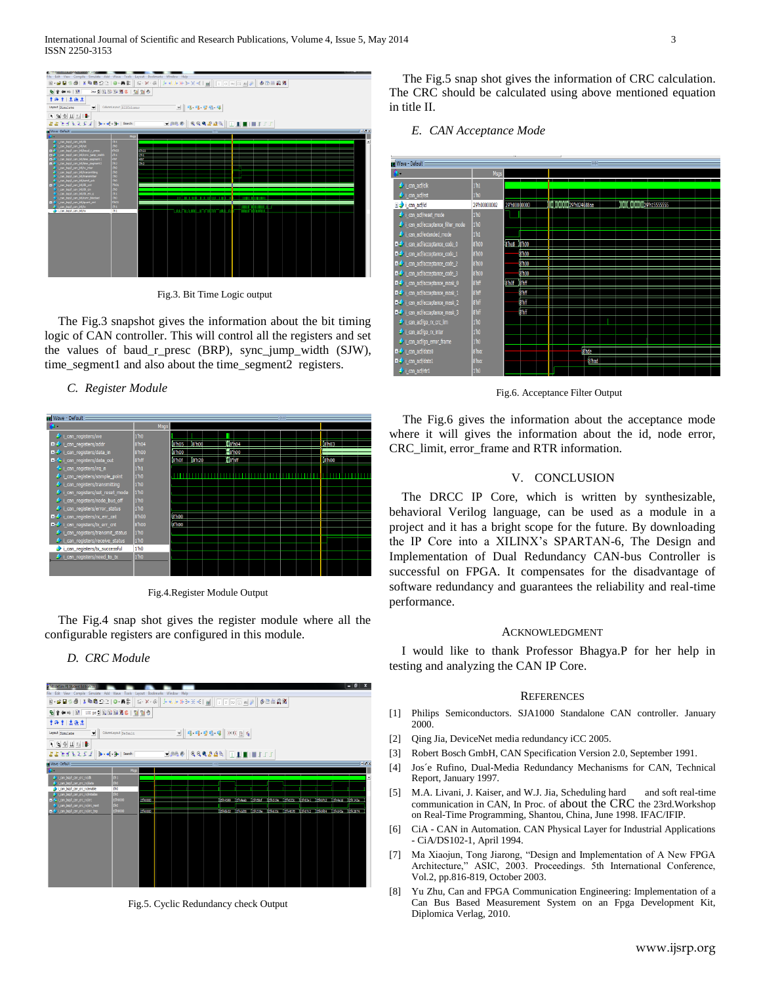

Fig.3. Bit Time Logic output

The Fig.3 snapshot gives the information about the bit timing logic of CAN controller. This will control all the registers and set the values of baud r presc (BRP), sync jump width (SJW), time\_segment1 and also about the time\_segment2 registers.

#### *C. Register Module*



Fig.4.Register Module Output

The Fig.4 snap shot gives the register module where all the configurable registers are configured in this module.

#### *D. CRC Module*



Fig.5. Cyclic Redundancy check Output

The Fig.5 snap shot gives the information of CRC calculation. The CRC should be calculated using above mentioned equation in title II.

### *E. CAN Acceptance Mode*



Fig.6. Acceptance Filter Output

The Fig.6 gives the information about the acceptance mode where it will gives the information about the id, node error, CRC\_limit, error\_frame and RTR information.

### V. CONCLUSION

The DRCC IP Core, which is written by synthesizable, behavioral Verilog language, can be used as a module in a project and it has a bright scope for the future. By downloading the IP Core into a XILINX's SPARTAN-6, The Design and Implementation of Dual Redundancy CAN-bus Controller is successful on FPGA. It compensates for the disadvantage of software redundancy and guarantees the reliability and real-time performance.

#### ACKNOWLEDGMENT

I would like to thank Professor Bhagya.P for her help in testing and analyzing the CAN IP Core.

#### **REFERENCES**

- [1] Philips Semiconductors. SJA1000 Standalone CAN controller. January 2000.
- [2] Qing Jia, DeviceNet media redundancy iCC 2005.
- [3] Robert Bosch GmbH, CAN Specification Version 2.0, September 1991.
- [4] Jos´e Rufino, Dual-Media Redundancy Mechanisms for CAN, Technical Report, January 1997.
- [5] M.A. Livani, J. Kaiser, and W.J. Jia, Scheduling hard and soft real-time communication in CAN, In Proc. of about the CRC the 23rd.Workshop on Real-Time Programming, Shantou, China, June 1998. IFAC/IFIP.
- [6] CiA CAN in Automation. CAN Physical Layer for Industrial Applications - CiA/DS102-1, April 1994.
- [7] Ma Xiaojun, Tong Jiarong, "Design and Implementation of A New FPGA Architecture," ASIC, 2003. Proceedings. 5th International Conference, Vol.2, pp.816-819, October 2003.
- [8] Yu Zhu, Can and FPGA Communication Engineering: Implementation of a Can Bus Based Measurement System on an Fpga Development Kit, Diplomica Verlag, 2010.